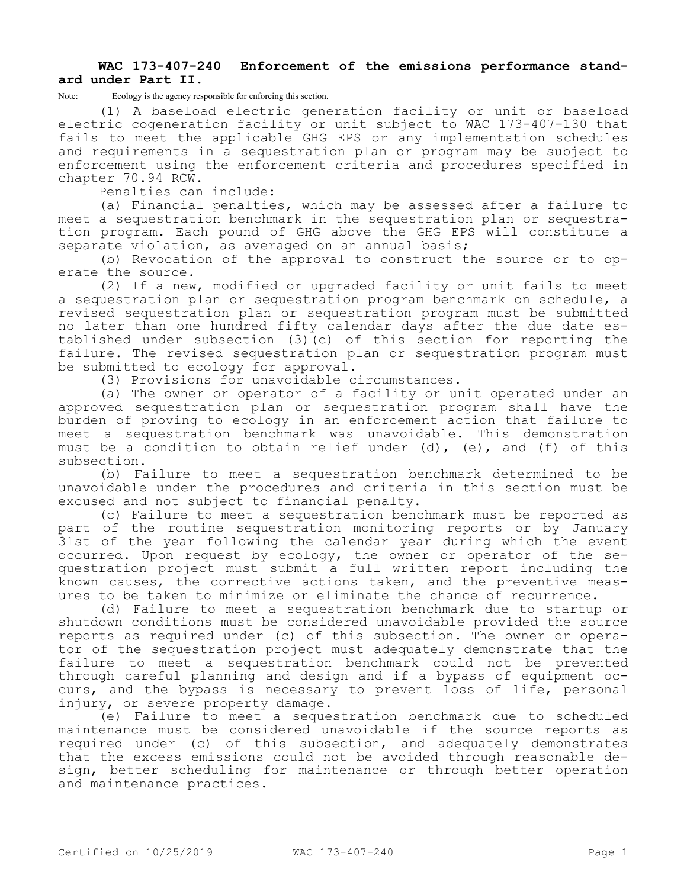## **WAC 173-407-240 Enforcement of the emissions performance standard under Part II.**

Note: Ecology is the agency responsible for enforcing this section.

(1) A baseload electric generation facility or unit or baseload electric cogeneration facility or unit subject to WAC 173-407-130 that fails to meet the applicable GHG EPS or any implementation schedules and requirements in a sequestration plan or program may be subject to enforcement using the enforcement criteria and procedures specified in chapter 70.94 RCW.

Penalties can include:

(a) Financial penalties, which may be assessed after a failure to meet a sequestration benchmark in the sequestration plan or sequestration program. Each pound of GHG above the GHG EPS will constitute a separate violation, as averaged on an annual basis;

(b) Revocation of the approval to construct the source or to operate the source.

(2) If a new, modified or upgraded facility or unit fails to meet a sequestration plan or sequestration program benchmark on schedule, a revised sequestration plan or sequestration program must be submitted no later than one hundred fifty calendar days after the due date established under subsection (3)(c) of this section for reporting the failure. The revised sequestration plan or sequestration program must be submitted to ecology for approval.

(3) Provisions for unavoidable circumstances.

(a) The owner or operator of a facility or unit operated under an approved sequestration plan or sequestration program shall have the burden of proving to ecology in an enforcement action that failure to meet a sequestration benchmark was unavoidable. This demonstration must be a condition to obtain relief under  $(d)$ ,  $(e)$ , and  $(f)$  of this subsection.

(b) Failure to meet a sequestration benchmark determined to be unavoidable under the procedures and criteria in this section must be excused and not subject to financial penalty.

(c) Failure to meet a sequestration benchmark must be reported as part of the routine sequestration monitoring reports or by January 31st of the year following the calendar year during which the event occurred. Upon request by ecology, the owner or operator of the sequestration project must submit a full written report including the known causes, the corrective actions taken, and the preventive measures to be taken to minimize or eliminate the chance of recurrence.

(d) Failure to meet a sequestration benchmark due to startup or shutdown conditions must be considered unavoidable provided the source reports as required under (c) of this subsection. The owner or operator of the sequestration project must adequately demonstrate that the failure to meet a sequestration benchmark could not be prevented through careful planning and design and if a bypass of equipment occurs, and the bypass is necessary to prevent loss of life, personal injury, or severe property damage.

(e) Failure to meet a sequestration benchmark due to scheduled maintenance must be considered unavoidable if the source reports as required under (c) of this subsection, and adequately demonstrates that the excess emissions could not be avoided through reasonable design, better scheduling for maintenance or through better operation and maintenance practices.